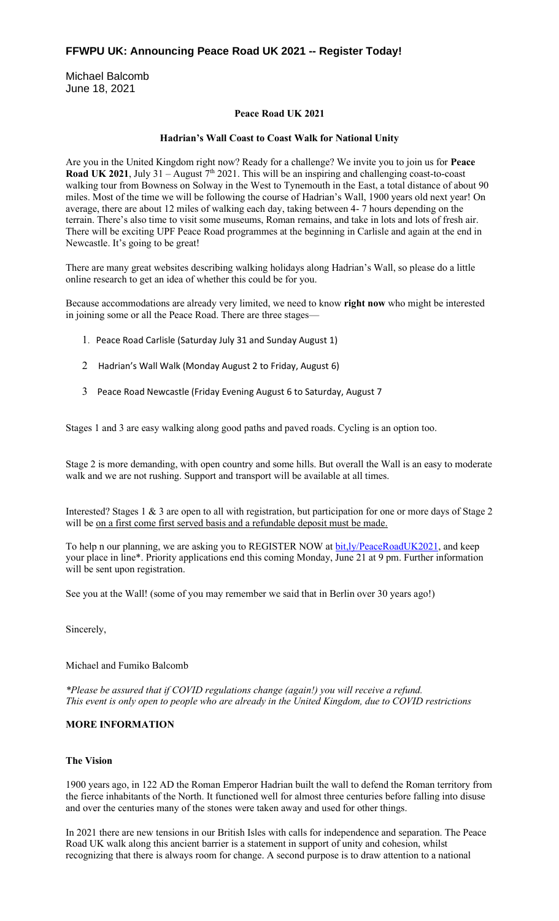# **FFWPU UK: Announcing Peace Road UK 2021 -- Register Today!**

Michael Balcomb June 18, 2021

# **Peace Road UK 2021**

# **Hadrian's Wall Coast to Coast Walk for National Unity**

Are you in the United Kingdom right now? Ready for a challenge? We invite you to join us for **Peace**  Road UK 2021, July 31 – August 7<sup>th</sup> 2021. This will be an inspiring and challenging coast-to-coast walking tour from Bowness on Solway in the West to Tynemouth in the East, a total distance of about 90 miles. Most of the time we will be following the course of Hadrian's Wall, 1900 years old next year! On average, there are about 12 miles of walking each day, taking between 4- 7 hours depending on the terrain. There's also time to visit some museums, Roman remains, and take in lots and lots of fresh air. There will be exciting UPF Peace Road programmes at the beginning in Carlisle and again at the end in Newcastle. It's going to be great!

There are many great websites describing walking holidays along Hadrian's Wall, so please do a little online research to get an idea of whether this could be for you.

Because accommodations are already very limited, we need to know **right now** who might be interested in joining some or all the Peace Road. There are three stages—

- 1. Peace Road Carlisle (Saturday July 31 and Sunday August 1)
- 2 Hadrian's Wall Walk (Monday August 2 to Friday, August 6)
- 3 Peace Road Newcastle (Friday Evening August 6 to Saturday, August 7

Stages 1 and 3 are easy walking along good paths and paved roads. Cycling is an option too.

Stage 2 is more demanding, with open country and some hills. But overall the Wall is an easy to moderate walk and we are not rushing. Support and transport will be available at all times.

Interested? Stages 1 & 3 are open to all with registration, but participation for one or more days of Stage 2 will be on a first come first served basis and a refundable deposit must be made.

To help n our planning, we are asking you to REGISTER NOW at bit,ly/PeaceRoadUK2021, and keep your place in line\*. Priority applications end this coming Monday, June 21 at 9 pm. Further information will be sent upon registration.

See you at the Wall! (some of you may remember we said that in Berlin over 30 years ago!)

Sincerely,

# Michael and Fumiko Balcomb

*\*Please be assured that if COVID regulations change (again!) you will receive a refund. This event is only open to people who are already in the United Kingdom, due to COVID restrictions*

# **MORE INFORMATION**

# **The Vision**

1900 years ago, in 122 AD the Roman Emperor Hadrian built the wall to defend the Roman territory from the fierce inhabitants of the North. It functioned well for almost three centuries before falling into disuse and over the centuries many of the stones were taken away and used for other things.

In 2021 there are new tensions in our British Isles with calls for independence and separation. The Peace Road UK walk along this ancient barrier is a statement in support of unity and cohesion, whilst recognizing that there is always room for change. A second purpose is to draw attention to a national